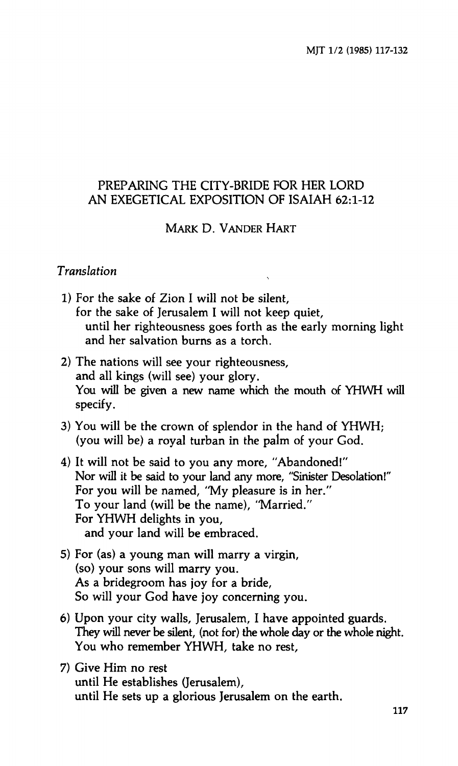### **PREPARING THE CITY-BRIDE FOR HER LORD AN EXEGETICAL EXPOSITION OF ISAIAH 62:1-12**

### **MARK D. VANDER HART**

#### *Translation*

- **1) For the sake of Zion I will not be silent, for the sake of Jerusalem I will not keep quiet, until her righteousness goes forth as the early morning light and her salvation burns as a torch.**
- **2) The nations will see your righteousness, and all kings (will see) your glory. You will be given a new name which the mouth of YHWH will specify.**
- **3) You will be the crown of splendor in the hand of YHWH; (you will be) a royal turban in the palm of your God.**
- **4) It will not be said to you any more, "Abandoned!" Nor will it be said to your land any more, "Sinister Desolation!" For you will be named, "My pleasure is in her." To your land (will be the name), "Married." For YHWH delights in you, and your land will be embraced.**
- **5) For (as) a young man will marry a virgin, (so) your sons will marry you. As a bridegroom has joy for a bride. So will your God have joy concerning you.**
- **6) Upon your city walls, Jerusalem, I have appointed guards. They will never be silent, (not for) the whole day or the whole night. You who remember YHWH, take no rest,**
- **7) Give Him no rest until He establishes (Jerusalem), until He sets up a glorious Jerusalem on the earth.**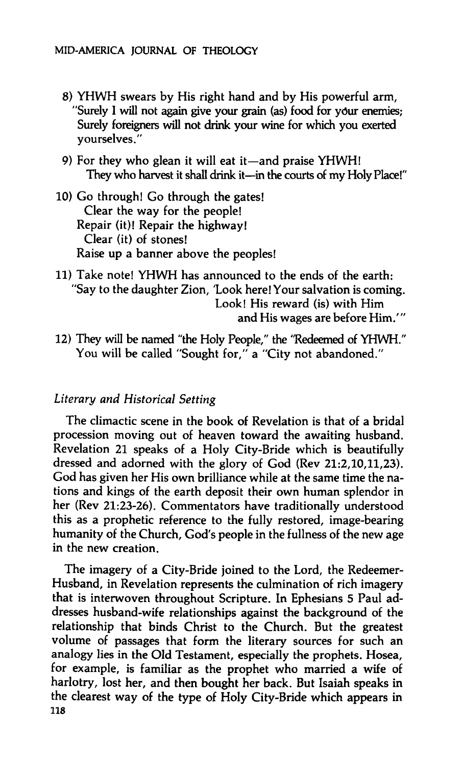- **8) YHWH swears by His right hand and by His powerful arm, "Surely I will not again give your grain (as) food for your enemies; Surely foreigners will not drink your wine for which you exerted yourselves."**
- **9) For they who glean it will eat it—and praise YHWH! They who harvest it shall drink it—in the courts of my Holy Place!"**

**10) Go through! Go through the gates! Clear the way for the people! Repair (it)! Repair the highway! Clear (it) of stones! Raise up a banner above the peoples!** 

- **11) Take note! YHWH has announced to the ends of the earth: "Say to the daughter Zion, 'Look here! Your salvation is coming. Look! His reward (is) with Him and His wages are before Him.' "**
- **12) They will be named "the Holy People," the "Redeemed of YHWH." You will be called "Sought for," a "City not abandoned."**

### *Literary and Historical Setting*

**The climactic scene in the book of Revelation is that of a bridal procession moving out of heaven toward the awaiting husband. Revelation 21 speaks of a Holy City-Bride which is beautifully dressed and adorned with the glory of God (Rev 21:2,10,11,23). God has given her His own brilliance while at the same time the nations and kings of the earth deposit their own human splendor in her (Rev 21:23-26). Commentators have traditionally understood this as a prophetic reference to the fully restored, image-bearing humanity of the Church, God's people in the fullness of the new age in the new creation.** 

**The imagery of a City-Bride joined to the Lord, the Redeemer-Husband, in Revelation represents the culmination of rich imagery that is interwoven throughout Scripture. In Ephesians 5 Paul addresses husband-wife relationships against the background of the relationship that binds Christ to the Church. But the greatest volume of passages that form the literary sources for such an analogy lies in the Old Testament, especially the prophets. Hosea, for example, is familiar as the prophet who married a wife of harlotry, lost her, and then bought her back. But Isaiah speaks in the clearest way of the type of Holy City-Bride which appears in 118**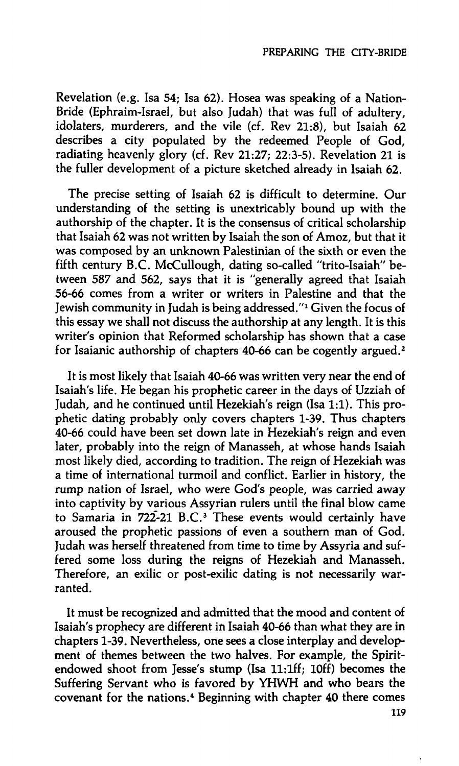**Revelation (e.g. Isa 54; Isa 62). Hosea was speaking of a Nation-Bride (Ephraim-Israel, but also Judah) that was full of adultery, idolaters, murderers, and the vile (cf. Rev 21:8), but Isaiah 62 describes a city populated by the redeemed People of God, radiating heavenly glory (cf. Rev 21:27; 22:3-5). Revelation 21 is the fuller development of a picture sketched already in Isaiah 62.** 

**The precise setting of Isaiah 62 is difficult to determine. Our understanding of the setting is unextricably bound up with the authorship of the chapter. It is the consensus of critical scholarship that Isaiah 62 was not written by Isaiah the son of Amoz, but that it was composed by an unknown Palestinian of the sixth or even the fifth century B.C. McCullough, dating so-called "trito-Isaiah" between** *587* **and 562, says that it is "generally agreed that Isaiah 56-66 comes from a writer or writers in Palestine and that the Jewish community in Judah is being addressed."<sup>1</sup> Given the focus of this essay we shall not discuss the authorship at any length. It is this writer's opinion that Reformed scholarship has shown that a case for Isaianic authorship of chapters 40-66 can be cogently argued.<sup>2</sup>**

**It is most likely that Isaiah 40-66 was written very near the end of Isaiah's life. He began his prophetic career in the days of Uzziah of Judah, and he continued until Hezekiah's reign (Isa 1:1). This prophetic dating probably only covers chapters 1-39. Thus chapters 40-66 could have been set down late in Hezekiah's reign and even later, probably into the reign of Manasseh, at whose hands Isaiah most likely died, according to tradition. The reign of Hezekiah was a time of international turmoil and conflict. Earlier in history, the rump nation of Israel, who were God's people, was carried away into captivity by various Assyrian rulers until the final blow came to Samaria in 722-21 B.C.<sup>3</sup> These events would certainly have aroused the prophetic passions of even a southern man of God. Judah was herself threatened from time to time by Assyria and suffered some loss during the reigns of Hezekiah and Manasseh. Therefore, an exilic or post-exilic dating is not necessarily warranted.** 

**It must be recognized and admitted that the mood and content of Isaiah's prophecy are different in Isaiah 40-66 than what they are in chapters 1-39. Nevertheless, one sees a close interplay and development of themes between the two halves. For example, the Spiritendowed shoot from Jesse's stump (Isa ll:lff; lOff) becomes the Suffering Servant who is favored by YHWH and who bears the covenant for the nations.<sup>4</sup> Beginning with chapter 40 there comes 119**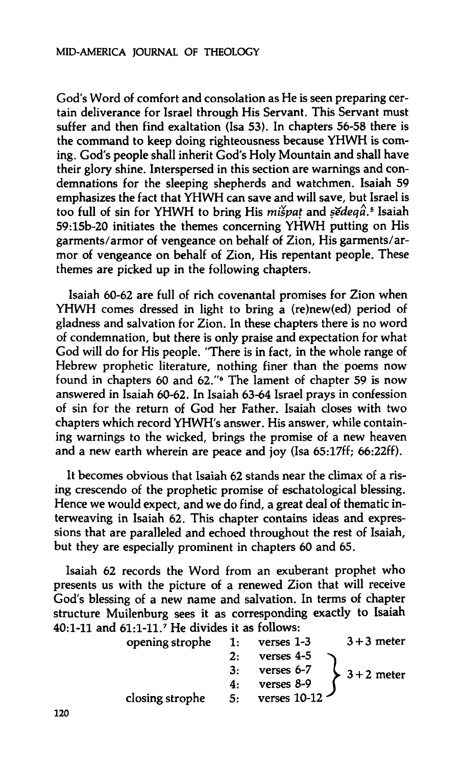**God's Word of comfort and consolation as He is seen preparing certain deliverance for Israel through His Servant. This Servant must suffer and then find exaltation (Isa 53). In chapters 56-58 there is the command to keep doing righteousness because YHWH is coming. God's people shall inherit God's Holy Mountain and shall have their glory shine. Interspersed in this section are warnings and condemnations for the sleeping shepherds and watchmen. Isaiah 59 emphasizes the fact that YHWH can save and will save, but Israel is too full of sin for YHWH to bring His** *mispat* **and** *sedeqâ.<sup>5</sup>*  **Isaiah 59:15b-20 initiates the themes concerning YHWH putting on His garments/armor of vengeance on behalf of Zion, His garments/armor of vengeance on behalf of Zion, His repentant people. These themes are picked up in the following chapters.** 

**Isaiah 60-62 are full of rich covenantal promises for Zion when YHWH comes dressed in light to bring a (re)new(ed) period of gladness and salvation for Zion. In these chapters there is no word of condemnation, but there is only praise and expectation for what God will do for His people. "There is in fact, in the whole range of Hebrew prophetic literature, nothing finer than the poems now found in chapters 60 and 62."<sup>6</sup> The lament of chapter 59 is now answered in Isaiah 60-62. In Isaiah 63-64 Israel prays in confession of sin for the return of God her Father. Isaiah closes with two chapters which record YHWH's answer. His answer, while containing warnings to the wicked, brings the promise of a new heaven and a new earth wherein are peace and joy (Isa 65:17ff; 66:22ff).** 

**It becomes obvious that Isaiah 62 stands near the climax of a rising crescendo of the prophetic promise of eschatological blessing. Hence we would expect, and we do find, a great deal of thematic interweaving in Isaiah 62. This chapter contains ideas and expressions that are paralleled and echoed throughout the rest of Isaiah, but they are especially prominent in chapters 60 and 65.** 

**Isaiah 62 records the Word from an exuberant prophet who presents us with the picture of a renewed Zion that will receive God's blessing of a new name and salvation. In terms of chapter structure Muilenburg sees it as corresponding exactly to Isaiah 40:1-11 and 61:1-11.<sup>7</sup> He divides it as follows:** 

| 1: | verses $1-3$ | $3 + 3$ meter  |
|----|--------------|----------------|
| 2: | verses $4-5$ |                |
| 3: | verses 6-7   | $3 + 2$ meter  |
| 4: | verses 8-9   |                |
| 5: |              |                |
|    |              | verses $10-12$ |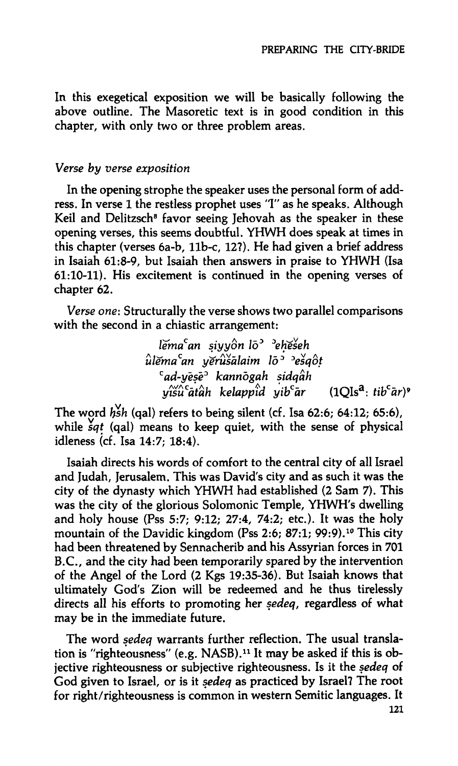**In this exegetical exposition we will be basically following the above outline. The Masoretic text is in good condition in this chapter, with only two or three problem areas.** 

#### *Verse by verse exposition*

**In the opening strophe the speaker uses the personal form of address. In verse 1 the restless prophet uses** *"I"* **as he speaks. Although Keil and Delitzsch<sup>8</sup> favor seeing Jehovah as the speaker in these opening verses, this seems doubtful. YHWH does speak at times in this chapter (verses 6a-b, llb-c, 12?). He had given a brief address in Isaiah 61:8-9, but Isaiah then answers in praise to YHWH (Isa 61:10-11). His excitement is continued in the opening verses of chapter 62.** 

*Verse one:* **Structurally the verse shows two parallel comparisons with the second in a chiastic arrangement:** 

> *Xemaan siyyon* **/o<sup>3</sup>***<sup>D</sup>eHeseh ûlema<sup>c</sup> an yerusàlaim löD Desqot c ad-yësë<sup>D</sup> kannògah sidqàh yîsù'âtâh kelappîd yib'àr* **(lQIs<sup>a</sup> :** *tib<sup>c</sup> àr)>*

**The word** *hsh* **(qal) refers to being silent (cf. Isa 62:6; 64:12; 65:6), while** *sqt* **(qal) means to keep quiet, with the sense of physical idleness (cf. Isa 14:7; 18:4).** 

**Isaiah directs his words of comfort to the central city of all Israel and Judah, Jerusalem. This was David's city and as such it was the city of the dynasty which YHWH had established (2 Sam 7). This was the city of the glorious Solomonic Temple, YHWH's dwelling and holy house (Pss** *5:7;* **9:12; 27:4, 74:2; etc.). It was the holy mountain of the Davidic kingdom (Pss 2:6; 87:1; 99:9).<sup>10</sup> This city had been threatened by Sennacherib and his Assyrian forces in 701 B.C., and the city had been temporarily spared by the intervention of the Angel of the Lord (2 Kgs 19:35-36). But Isaiah knows that ultimately God's Zion will be redeemed and he thus tirelessly directs all his efforts to promoting her** *sedeq,* **regardless of what may be in the immediate future.** 

**The word** *sedeq* **warrants further reflection. The usual translation is "righteousness" (e.g. NASB).<sup>11</sup> It may be asked if this is objective righteousness or subjective righteousness. Is it the** *sedeq* **of God given to Israel, or is it** *sedeq* **as practiced by Israel? The root for right/righteousness is common in western Semitic languages. It**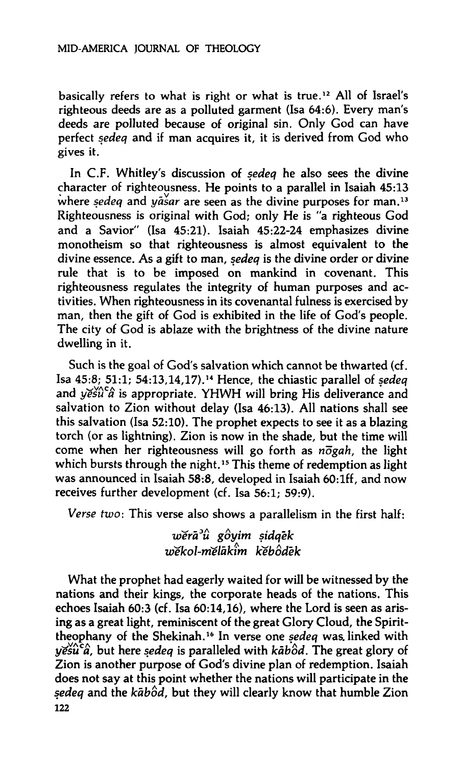**basically refers to what is right or what is true.<sup>12</sup> All of Israel's righteous deeds are as a polluted garment (Isa 64:6). Every man's deeds are polluted because of original sin. Only God can have perfect** *sedeq* **and if man acquires it, it is derived from God who gives it.** 

**In C.F. Whitley's discussion of** *sedeq* **he also sees the divine character of righteousness. He points to a parallel in Isaiah 45:13 where** *sedeq* **and** *yäsar* **are seen as the divine purposes for man.<sup>13</sup> Righteousness is original with God; only He is "a righteous God and a Savior" (Isa 45:21). Isaiah 45:22-24 emphasizes divine monotheism so that righteousness is almost equivalent to the divine essence. As a gift to man,** *sedeq* **is the divine order or divine rule that is to be imposed on mankind in covenant. This righteousness regulates the integrity of human purposes and activities. When righteousness in its covenantal fulness is exercised by man, then the gift of God is exhibited in the life of God's people. The city of God is ablaze with the brightness of the divine nature dwelling in it.** 

**Such is the goal of God's salvation which cannot be thwarted (cf. Isa 45:8; 51:1; 54:13,14,17).<sup>14</sup> Hence, the chiastic parallel of** *sedeq*  **and** *yesîfâ* **is appropriate. YHWH will bring His deliverance and salvation to Zion without delay (Isa 46:13). All nations shall see this salvation (Isa 52:10). The prophet expects to see it as a blazing torch (or as lightning). Zion is now in the shade, but the time will**  come when her righteousness will go forth as  $n\bar{o}gah$ , the light **which bursts through the night.<sup>15</sup> This theme of redemption as light was announced in Isaiah 58:8, developed in Isaiah 60:lff, and now receives further development (cf. Isa 56:1; 59:9).** 

*Verse two:* **This verse also shows a parallelism in the first half:** 

*werà<sup>2</sup> û goyim sidqek wekol-niélàkim kebôdêk* 

**What the prophet had eagerly waited for will be witnessed by the nations and their kings, the corporate heads of the nations. This echoes Isaiah 60:3 (cf. Isa 60:14,16), where the Lord is seen as arising as a great light, reminiscent of the great Glory Cloud, the Spirittheophany of the Shekinah.<sup>16</sup> In verse one** *sedeq* **was. linked with**   $y$ *esu<sup>2</sup>* $\hat{a}$ , but here *sedeq* is paralleled with *kābôd*. The great glory of **Zion is another purpose of God's divine plan of redemption. Isaiah does not say at this point whether the nations will participate in the**  *sedeq* **and the** *kabod,* **but they will clearly know that humble Zion 122**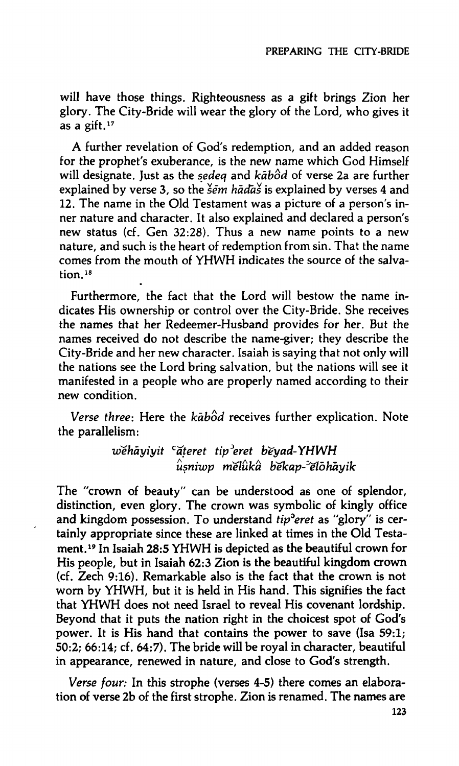**will have those things. Righteousness as a gift brings Zion her glory. The City-Bride will wear the glory of the Lord, who gives it as a gift.<sup>17</sup>**

**A further revelation of God's redemption, and an added reason for the prophet's exuberance, is the new name which God Himself will designate. Just as the** *sedeq* **and** *kàbod* **of verse 2a are further**  explained by verse 3, so the  $\frac{2}{5}$  *em hadas* is explained by verses 4 and **12. The name in the Old Testament was a picture of a person's inner nature and character. It also explained and declared a person's new status (cf. Gen 32:28). Thus a new name points to a new nature, and such is the heart of redemption from sin. That the name comes from the mouth of YHWH indicates the source of the salvation.<sup>18</sup>**

**Furthermore, the fact that the Lord will bestow the name indicates His ownership or control over the City-Bride. She receives the names that her Redeemer-Husband provides for her. But the names received do not describe the name-giver; they describe the City-Bride and her new character. Isaiah is saying that not only will the nations see the Lord bring salvation, but the nations will see it manifested in a people who are properly named according to their new condition.** 

*Verse three:* **Here the** *kabod* **receives further explication. Note the parallelism:** 

> *wehàyiyit <sup>c</sup> ateret tip<sup>D</sup> eret beyad-YHWH usniwp nielûkâ làekap^lòhayik*

**The "crown of beauty" can be understood as one of splendor, distinction, even glory. The crown was symbolic of kingly office and kingdom possession. To understand** *tip^eret* **as "glory" is certainly appropriate since these are linked at times in the Old Testament.<sup>19</sup> In Isaiah 28:5 YHWH is depicted as the beautiful crown for His people, but in Isaiah 62:3 Zion is the beautiful kingdom crown (cf. Zech 9:16). Remarkable also is the fact that the crown is not worn by YHWH, but it is held in His hand. This signifies the fact that YHWH does not need Israel to reveal His covenant lordship. Beyond that it puts the nation right in the choicest spot of God's power. It is His hand that contains the power to save (Isa 59:1; 50:2; 66:14; cf. 64:7). The bride will be royal in character, beautiful in appearance, renewed in nature, and close to God's strength.** 

J

*Verse four:* **In this strophe (verses 4-5) there comes an elaboration of verse 2b of the first strophe. Zion is renamed. The names are**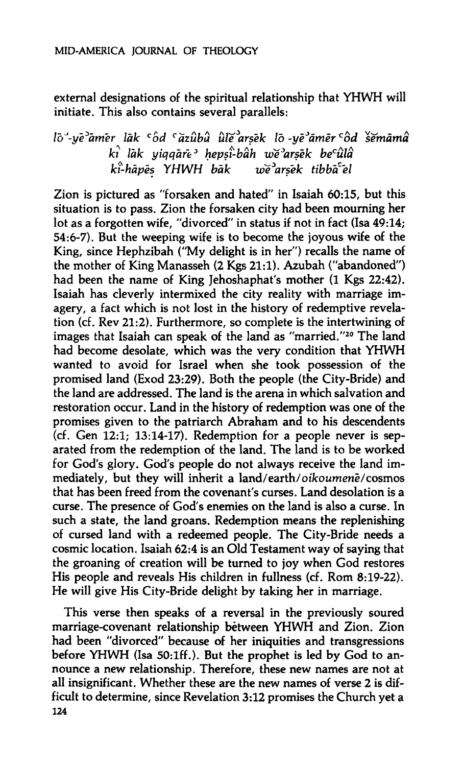**external designations of the spiritual relationship that YHWH will initiate. This also contains several parallels:** 

## *Ib^-ye^am'er lak <sup>c</sup> od <sup>ç</sup> azûbà ùïe arsek lô-yê<sup>J</sup> âmêr<sup>c</sup> od ïemamâ ki lak yiqqafe\* hepsi-bâh we^arsêk be<sup>c</sup> ûlâ ki-hàpes YHWH bàk vie^arsek tibb'ael*

**Zion is pictured as "forsaken and hated" in Isaiah 60:15, but this situation is to pass. Zion the forsaken city had been mourning her lot as a forgotten wife, "divorced" in status if not in fact (Isa 49:14; 54:6-7). But the weeping wife is to become the joyous wife of the King, since Hephzibah ("My delight is in her") recalls the name of the mother of King Manasseh (2 Kgs 21:1). Azubah ("abandoned")**  had been the name of King Jehoshaphat's mother (1 Kgs 22:42). **Isaiah has cleverly intermixed the city reality with marriage imagery, a fact which is not lost in the history of redemptive revelation (cf. Rev 21:2). Furthermore, so complete is the intertwining of images that Isaiah can speak of the land as "married."<sup>20</sup> The land had become desolate, which was the very condition that YHWH wanted to avoid for Israel when she took possession of the promised land (Exod 23:29). Both the people (the City-Bride) and the land are addressed. The land is the arena in which salvation and restoration occur. Land in the history of redemption was one of the promises given to the patriarch Abraham and to his descendents (cf. Gen 12:1; 13:14-17). Redemption for a people never is separated from the redemption of the land. The land is to be worked for God's glory. God's people do not always receive the land immediately, but they will inherit a land/earth/***oikoumenë/cosmos*  **that has been freed from the covenant's curses. Land desolation is a curse. The presence of God's enemies on the land is also a curse. In such a state, the land groans. Redemption means the replenishing of cursed land with a redeemed people. The City-Bride needs a cosmic location. Isaiah 62:4 is an Old Testament way of saying that the groaning of creation will be turned to joy when God restores His people and reveals His children in fullness (cf. Rom 8:19-22). He will give His City-Bride delight by taking her in marriage.** 

**This verse then speaks of a reversal in the previously soured marriage-covenant relationship between YHWH and Zion. Zion had been "divorced" because of her iniquities and transgressions before YHWH (Isa 50:lff.). But the prophet is led by God to announce a new relationship. Therefore, these new names are not at all insignificant. Whether these are the new names of verse 2 is difficult to determine, since Revelation 3:12 promises the Church yet a 124**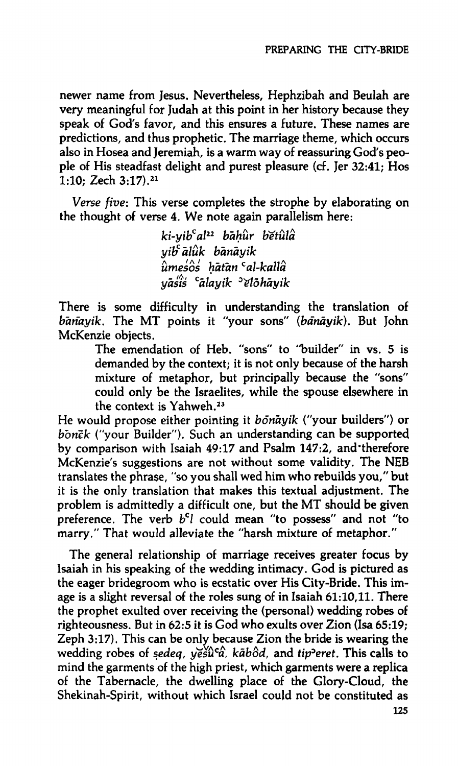**newer name from Jesus. Nevertheless, Hephzibah and Beulah are very meaningful for Judah at this point in her history because they speak of God's favor, and this ensures a future. These names are predictions, and thus prophetic. The marriage theme, which occurs also in Hosea and Jeremiah, is a warm way of reassuring God's people of His steadfast delight and purest pleasure (cf. Jer 32:41; Hos 1:10; Zech 3:17).<sup>21</sup>**

*Verse five:* **This verse completes the strophe by elaborating on the thought of verse 4. We note again parallelism here:** 

> *ki-yib<sup>c</sup> al<sup>22</sup> bahiir tíetula yiloaluk bànàyik umesos hàtan <sup>c</sup> al-kallà yàsis <sup>c</sup> àlayik ^lohàyik*

**There is some difficulty in understanding the translation of**  *banayik.* **The MT points it "your sons"** *{bànàyik).* **But John McKenzie objects.** 

**The emendation of Heb. "sons" to "builder" in vs. 5 is demanded by the context; it is not only because of the harsh mixture of metaphor, but principally because the "sons" could only be the Israelites, while the spouse elsewhere in the context is Yahweh.<sup>23</sup>**

**He would propose either pointing it** *bônàyik* **("your builders") or**  *bbnck* **("your Builder"). Such an understanding can be supported by comparison with Isaiah 49:17 and Psalm 147:2, and'therefore McKenzie's suggestions are not without some validity. The NEB translates the phrase, "so you shall wed him who rebuilds you," but it is the only translation that makes this textual adjustment. The problem is admittedly a difficult one, but the MT should be given preference. The verb** *b<sup>c</sup> l* **could mean "to possess" and not "to marry." That would alleviate the "harsh mixture of metaphor."** 

**The general relationship of marriage receives greater focus by Isaiah in his speaking of the wedding intimacy. God is pictured as the eager bridegroom who is ecstatic over His City-Bride. This image is a slight reversal of the roles sung of in Isaiah 61:10,11. There the prophet exulted over receiving the (personal) wedding robes of righteousness. But in 62:5 it is God who exults over Zion (Isa 65:19; Zeph 3:17). This can be only because Zion the bride is wearing the wedding robes of** *sedeq, yesu<sup>c</sup> a, kabod,* **and** *tip°eret.* **This calls to mind the garments of the high priest, which garments were a replica of the Tabernacle, the dwelling place of the Glory-Cloud, the Shekinah-Spirit, without which Israel could not be constituted as**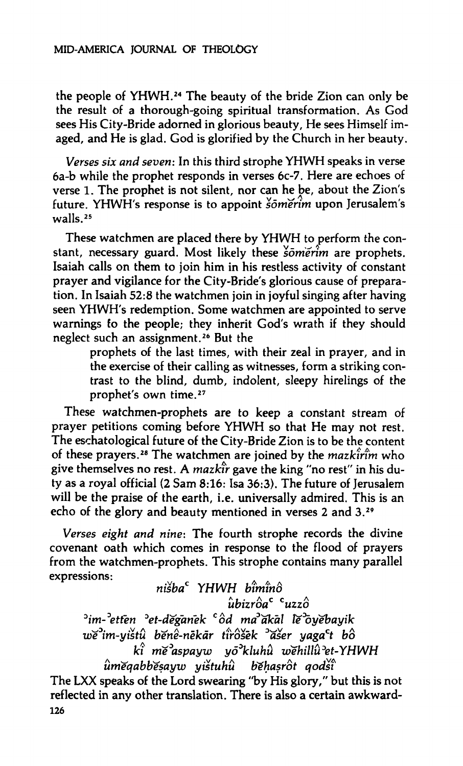**the people of YHWH.<sup>24</sup> The beauty of the bride Zion can only be the result of a thorough-going spiritual transformation. As God sees His City-Bride adorned in glorious beauty. He sees Himself imaged, and He is glad. God is glorified by the Church in her beauty.** 

*Verses six and seven:* **In this third strophe YHWH speaks in verse 6a-b while the prophet responds in verses 6c-7. Here are echoes of verse 1. The prophet is not silent, nor can he be, about the Zion's future. YHWH's response is to appoint** *sönierim* **upon Jerusalem's walls.<sup>25</sup>**

**These watchmen are placed there by YHWH to perform the constant, necessary guard. Most likely these** *ìomérim* **are prophets. Isaiah calls on them to join him in his restless activity of constant prayer and vigilance for the City-Bride's glorious cause of preparation. In Isaiah 52:8 the watchmen join in joyful singing after having seen YHWH's redemption. Some watchmen are appointed to serve warnings fo the people; they inherit God's wrath if they should neglect such an assignment.<sup>26</sup> But the** 

> **prophets of the last times, with their zeal in prayer, and in the exercise of their calling as witnesses, form a striking contrast to the blind, dumb, indolent, sleepy hirelings of the prophet's own time.<sup>27</sup>**

**These watchmen-prophets are to keep a constant stream of prayer petitions coming before YHWH so that He may not rest. The eschatological future of the City-Bride Zion is to be the content**  of these prayers.<sup>28</sup> The watchmen are joined by the *mazkirim* who **give themselves no rest. A** *mazkir* **gave the king "no rest" in his duty as a royal official (2 Sam 8:16: Isa 36:3). The future of Jerusalem will be the praise of the earth, i.e. universally admired. This is an echo of the glory and beauty mentioned in verses 2 and 3.<sup>29</sup>**

*Verses eight and nine:* **The fourth strophe records the divine covenant oath which comes in response to the flood of prayers from the watchmen-prophets. This strophe contains many parallel expressions:** 

*nisba<sup>c</sup> YHWH bimino*  **ΛΕ** • ΑΣ • Ο Ο Ο Ο Α Σ ubizroa uzzo<br>2<sup>3</sup>im-<sup>3</sup>etten <sup>3</sup>et-dĕḡan̄ek <sup>c</sup>ôd ma`̀ak̄al lĕ *im-:>etfen ^et-deganek <sup>c</sup> od ma^akàl îe^yebayik we im-yistu benè-nëkàr tirosek <sup>D</sup> aser yaga<sup>c</sup> t bo ki nie<sup>D</sup> aspayw yô^kluhû we'hillfret-YHWH* 

The LXX speaks of the Lord swearing "by His glory," but this is not **The LXX speaks of the Lord swearing "by His glory," but this is not reflected in any other translation. There is also a certain awkward-126**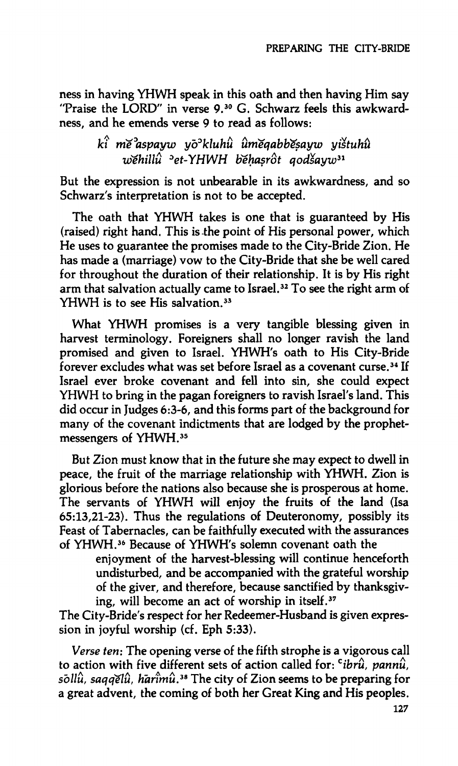**ness in having YHWH speak in this oath and then having Him say "Praise the LORD" in verse 9.<sup>30</sup> G. Schwarz feels this awkwardness, and he emends verse 9 to read as follows:** 

# *ki me^aspayw yo°kluhu unieqabbesayw yistuhu wehillu <sup>D</sup> et-YHWH ioehasrot qodsayw<sup>31</sup>*

**But the expression is not unbearable in its awkwardness, and so Schwarz's interpretation is not to be accepted.** 

**The oath that YHWH takes is one that is guaranteed by His (raised) right hand. This is the point of His personal power, which He uses to guarantee the promises made to the City-Bride Zion. He has made a (marriage) vow to the City-Bride that she be well cared for throughout the duration of their relationship. It is by His right arm that salvation actually came to Israel.<sup>32</sup> To see the right arm of YHWH is to see His salvation.<sup>33</sup>**

**What YHWH promises is a very tangible blessing given in harvest terminology. Foreigners shall no longer ravish the land promised and given to Israel. YHWH's oath to His City-Bride forever excludes what was set before Israel as a covenant curse.<sup>34</sup> If Israel ever broke covenant and fell into sin, she could expect YHWH to bring in the pagan foreigners to ravish Israel's land. This did occur in Judges 6:3-6, and this forms part of the background for many of the covenant indictments that are lodged by the prophetmessengers of YHWH.<sup>35</sup>**

**But Zion must know that in the future she may expect to dwell in peace, the fruit of the marriage relationship with YHWH. Zion is glorious before the nations also because she is prosperous at home. The servants of YHWH will enjoy the fruits of the land (Isa 65:13,21-23). Thus the regulations of Deuteronomy, possibly its Feast of Tabernacles, can be faithfully executed with the assurances of YHWH.<sup>36</sup> Because of YHWH's solemn covenant oath the** 

> **enjoyment of the harvest-blessing will continue henceforth undisturbed, and be accompanied with the grateful worship of the giver, and therefore, because sanctified by thanksgiving, will become an act of worship in itself.<sup>37</sup>**

**The City-Bride's respect for her Redeemer-Husband is given expression in joyful worship (cf. Eph 5:33).** 

*Verse ten:* **The opening verse of the fifth strophe is a vigorous call to action with five different sets of action called for:** *c ibru, pannu, sbllù, saqqelu, harîmù.<sup>38</sup>* **The city of Zion seems to be preparing for a great advent, the coming of both her Great King and His peoples.**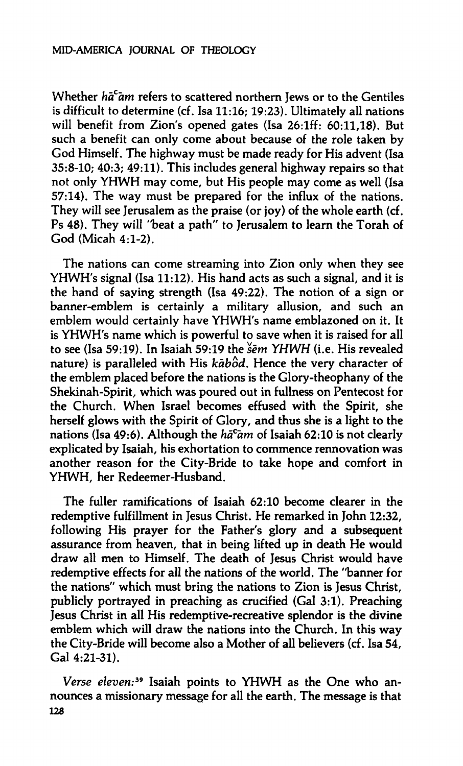**Whether** *ha"am* **refers to scattered northern Jews or to the Gentiles is difficult to determine (cf. Isa 11:16; 19:23). Ultimately all nations will benefit from Zion's opened gates (Isa 26:lff: 60:11,18). But such a benefit can only come about because of the role taken by God Himself. The highway must be made ready for His advent (Isa 35:8-10; 40:3; 49:11). This includes general highway repairs so that not only YHWH may come, but His people may come as well (Isa 57:14). The way must be prepared for the influx of the nations. They will see Jerusalem as the praise (or joy) of the whole earth (cf. Ps 48). They will "beat a path" to Jerusalem to learn the Torah of God (Micah 4:1-2).** 

**The nations can come streaming into Zion only when they see YHWH's signal (Isa 11:12). His hand acts as such a signal, and it is the hand of saying strength (Isa 49:22). The notion of a sign or banner-emblem is certainly a military allusion, and such an emblem would certainly have YHWH's name emblazoned on it. It is YHWH's name which is powerful to save when it is raised for all to see (Isa 59:19). In Isaiah 59:19 the** *sent YHWH* **(i.e. His revealed nature) is paralleled with His** *kàbod.* **Hence the very character of the emblem placed before the nations is the Glory-theophany of the Shekinah-Spirit, which was poured out in fullness on Pentecost for the Church. When Israel becomes effused with the Spirit, she herself glows with the Spirit of Glory, and thus she is a light to the nations (Isa 49:6). Although the** *hä<sup>c</sup> am* **of Isaiah 62:10 is not clearly explicated by Isaiah, his exhortation to commence rennovation was another reason for the City-Bride to take hope and comfort in YHWH, her Redeemer-Husband.** 

**The fuller ramifications of Isaiah 62:10 become clearer in the redemptive fulfillment in Jesus Christ. He remarked in John 12:32, following His prayer for the Father's glory and a subsequent assurance from heaven, that in being lifted up in death He would draw all men to Himself. The death of Jesus Christ would have redemptive effects for all the nations of the world. The "banner for the nations" which must bring the nations to Zion is Jesus Christ, publicly portrayed in preaching as crucified (Gal 3:1). Preaching Jesus Christ in all His redemptive-recreative splendor is the divine emblem which will draw the nations into the Church. In this way the City-Bride will become also a Mother of all believers (cf. Isa 54, Gal 4:21-31).** 

*Verse eleven:<sup>39</sup>* **Isaiah points to YHWH as the One who announces a missionary message for all the earth. The message is that 128**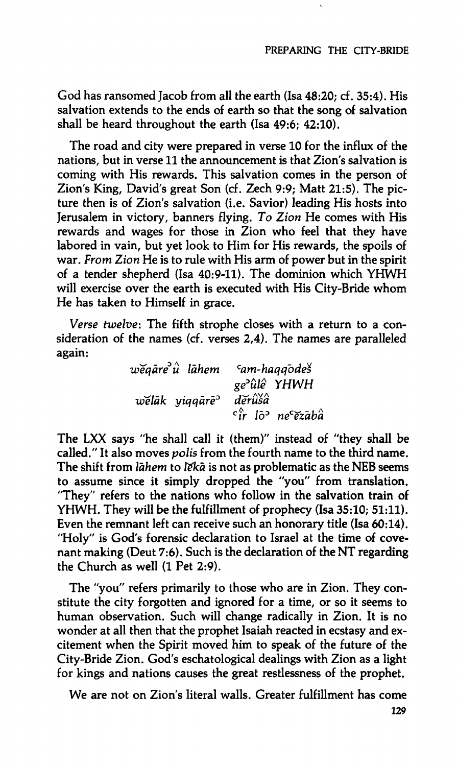**God has ransomed Jacob from all the earth (Isa 48:20; cf. 35:4). His salvation extends to the ends of earth so that the song of salvation shall be heard throughout the earth (Isa 49:6; 42:10).** 

**The road and city were prepared in verse 10 for the influx of the nations, but in verse 11 the announcement is that Zion's salvation is coming with His rewards. This salvation comes in the person of Zion's King, David's great Son (cf. Zech 9:9; Matt 21:5)- The picture then is of Zion's salvation (i.e. Savior) leading His hosts into Jerusalem in victory, banners flying.** *To Zion* **He comes with His rewards and wages for those in Zion who feel that they have labored in vain, but yet look to Him for His rewards, the spoils of war.** *From Zion* **He is to rule with His arm of power but in the spirit of a tender shepherd (Isa 40:9-11). The dominion which YHWH will exercise over the earth is executed with His City-Bride whom He has taken to Himself in grace.** 

*Verse twelve:* **The fifth strophe closes with a return to a consideration of the names (cf. verses 2,4). The names are paralleled again:** 

| $w\check{e}q\check{a}re^{\hat{u}}\check{u}$ lāhem | $\epsilon$ am-haqqodes                                     |
|---------------------------------------------------|------------------------------------------------------------|
|                                                   | ge <sup>2</sup> <i>ûlê</i> YHWH                            |
| welak yiqqare <sup>2</sup>                        | dĕrûšâ                                                     |
|                                                   | $\epsilon_{ir}^{\hat{}}$ lõ $^{\circ}$ ne $^{\circ}$ ezābâ |

**The LXX says "he shall call it (them)" instead of "they shall be called." It also moves** *polis* **from the fourth name to the third name. The shift from** *làhem* **to** *ïekà* **is not as problematic as the NEB seems to assume since it simply dropped the "you" from translation. "They" refers to the nations who follow in the salvation train of YHWH. They will be the fulfillment of prophecy (Isa 35:10; 51:11). Even the remnant left can receive such an honorary title (Isa 60:14). "Holy" is God's forensic declaration to Israel at the time of covenant making (Deut 7:6). Such is the declaration of the NT regarding the Church as well (1 Pet 2:9).** 

**The "you" refers primarily to those who are in Zion. They constitute the city forgotten and ignored for a time, or so it seems to human observation. Such will change radically in Zion. It is no wonder at all then that the prophet Isaiah reacted in ecstasy and excitement when the Spirit moved him to speak of the future of the City-Bride Zion. God's eschatological dealings with Zion as a light for kings and nations causes the great restlessness of the prophet.** 

**We are not on Zion's literal walls. Greater fulfillment has come**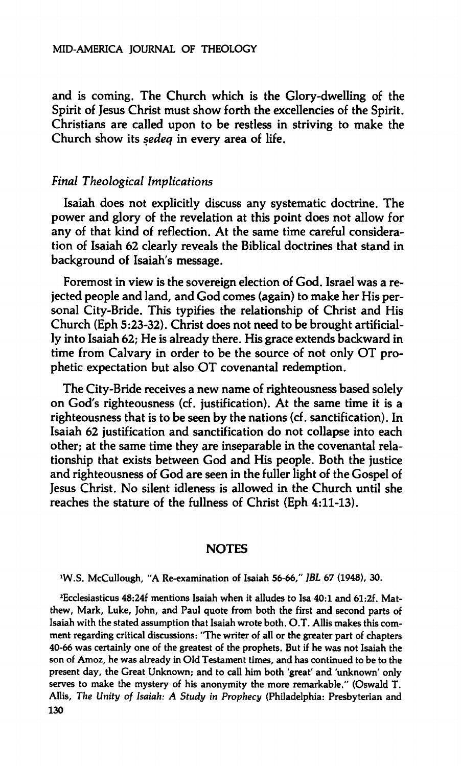**and is coming. The Church which is the Glory-dwelling of the Spirit of Jesus Christ must show forth the excellencies of the Spirit. Christians are called upon to be restless in striving to make the Church show its** *sedeq* **in every area of life.** 

#### *Final Theological Implications*

**Isaiah does not explicitly discuss any systematic doctrine. The power and glory of the revelation at this point does not allow for any of that kind of reflection. At the same time careful consideration of Isaiah 62 clearly reveals the Biblical doctrines that stand in background of Isaiah's message.** 

**Foremost in view is the sovereign election of God. Israel was a rejected people and land, and God comes (again) to make her His personal City-Bride. This typifies the relationship of Christ and His Church (Eph 5:23-32). Christ does not need to be brought artificially into Isaiah 62; He is already there. His grace extends backward in time from Calvary in order to be the source of not only OT prophetic expectation but also OT covenantal redemption.** 

**The City-Bride receives a new name of righteousness based solely on God's righteousness (cf. justification). At the same time it is a righteousness that is to be seen by the nations (cf. sanctification). In Isaiah 62 justification and sanctification do not collapse into each other; at the same time they are inseparable in the covenantal relationship that exists between God and His people. Both the justice and righteousness of God are seen in the fuller light of the Gospel of Jesus Christ. No silent idleness is allowed in the Church until she reaches the stature of the fullness of Christ (Eph 4:11-13).** 

#### **NOTES**

**W.S. McCullough, "A Re-examination of Isaiah 56-66,"** *JBL* **67 (1948), 30.** 

**<sup>2</sup>Ecclesiasticus 48:24f mentions Isaiah when it alludes to Isa 40:1 and 61:2f. Matthew, Mark, Luke, John, and Paul quote from both the first and second parts of Isaiah with the stated assumption that Isaiah wrote both. O.T. Allis makes this comment regarding critical discussions: "The writer of all or the greater part of chapters 40-66 was certainly one of the greatest of the prophets. But if he was not Isaiah the son of Amoz, he was already in Old Testament times, and has continued to be to the present day, the Great Unknown; and to call him both 'great' and 'unknown' only serves to make the mystery of his anonymity the more remarkable." (Oswald T. Allis,** *The Unity of Isaiah: A Study in Prophecy* **(Philadelphia: Presbyterian and 130**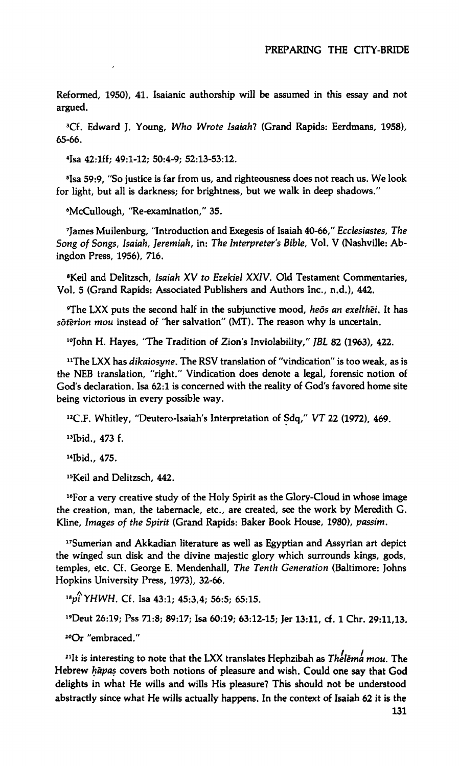**Reformed, 1950), 41. Isaianic authorship will be assumed in this essay and not argued.** 

**<sup>3</sup>Cf. Edward J. Young,** *Who Wrote Isaiah!* **(Grand Rapids: Eerdmans, 1958), 65-66.** 

**4 Isa 42:lff; 49:1-12; 50:4-9; 52:13-53:12.** 

**5 Isa 59:9, "So justice is far from us, and righteousness does not reach us. We look for light, but all is darkness; for brightness, but we walk in deep shadows."** 

**<sup>6</sup>McCullough, "Re-examination," 35.** 

**7 James Muilenburg, "Introduction and Exegesis of Isaiah 40-66,"** *Ecclesiastes, The Song of Songs, Isaiah, Jeremiah,* **in:** *The Interpreter's Bible,* **Vol. V (Nashville: Abingdon Press, 1956), 716.** 

**<sup>8</sup>Keil and Delitzsch,** *Isaiah XV to Ezekiel XXIV.* **Old Testament Commentaries, Vol. 5 (Grand Rapids: Associated Publishers and Authors Inc., n.d.), 442.** 

**<sup>9</sup>The LXX puts the second half in the subjunctive mood,** *heös an exelthei.* **It has**  *sbt'erion mou* **instead of "her salvation" (MT). The reason why is uncertain.** 

**<sup>10</sup>John H. Hayes, "The Tradition of Zion's Inviolability,"** *JBL* **82 (1963), 422.** 

**"The LXX has** *dikaiosyne.* **The RSV translation of "vindication" is too weak, as is the NEB translation, "right." Vindication does denote a legal, forensic notion of God's declaration. Isa 62:1 is concerned with the reality of God's favored home site being victorious in every possible way.** 

**<sup>12</sup>C.F. Whitley, "Deutero-Isaiah's Interpretation of Sdq,"** *VT* **22 (1972), 469.** 

**"Ibid., 473 f.** 

**<sup>14</sup>Ibid., 475.** 

**<sup>15</sup>Keil and Delitzsch, 442.** 

**<sup>16</sup>For a very creative study of the Holy Spirit as the Glory-Cloud in whose image the creation, man, the tabernacle, etc., are created, see the work by Meredith G. Kline,** *Images of the Spirit* **(Grand Rapids: Baker Book House, 1980),** *passim.* 

**<sup>17</sup>Sumerian and Akkadian literature as well as Egyptian and Assyrian art depict the winged sun disk and the divine majestic glory which surrounds kings, gods, temples, etc. Cf. George E. Mendenhall,** *The Tenth Generation* **(Baltimore: Johns Hopkins University Press, 1973), 32-66.** 

*"pÎYHWH.* **Cf. Isa 43:1; 45:3,4; 56:5; 65:15.** 

**<sup>19</sup>Deut 26:19; Pss 71:8; 89:17; Isa 60:19; 63:12-15; Jer 13:11, cf. 1 Chr. 29:11,13.** 

**<sup>20</sup>Or "embraced."** 

**<sup>21</sup>It is interesting to note that the LXX translates Hephzibah as** *Thelêma mou.* **The Hebrew** *hapas* **covers both notions of pleasure and wish. Could one say that God delights in what He wills and wills His pleasure? This should not be understood abstractly since what He wills actually happens. In the context of Isaiah 62 it is the**